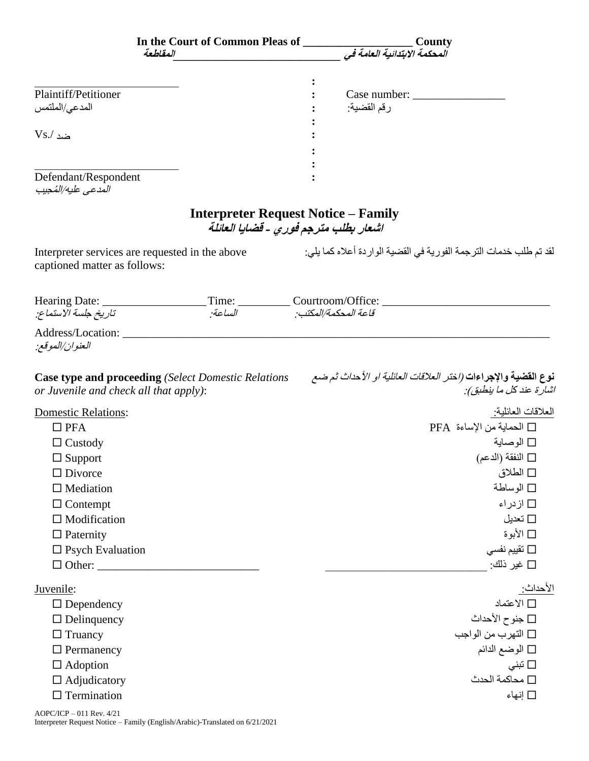|                                             | In the Court of Common Pleas of<br>المقلطعة                                         | .<br>المحكمة الابتدائية العامة في | County                                                                                                          |
|---------------------------------------------|-------------------------------------------------------------------------------------|-----------------------------------|-----------------------------------------------------------------------------------------------------------------|
|                                             |                                                                                     |                                   |                                                                                                                 |
| Plaintiff/Petitioner                        |                                                                                     |                                   |                                                                                                                 |
| المدعى/الملتمس                              |                                                                                     | رقم القضية:                       |                                                                                                                 |
|                                             |                                                                                     |                                   |                                                                                                                 |
| $Vs/$ ضد                                    |                                                                                     |                                   |                                                                                                                 |
|                                             |                                                                                     |                                   |                                                                                                                 |
|                                             |                                                                                     |                                   |                                                                                                                 |
| Defendant/Respondent<br>المدعى عليه/المُحيب |                                                                                     |                                   |                                                                                                                 |
|                                             | <b>Interpreter Request Notice – Family</b><br>اشعار بطلب مترجم فوري - قضايا العائلة |                                   |                                                                                                                 |
| captioned matter as follows:                | Interpreter services are requested in the above                                     |                                   | لقد تم طلب خدمات الترجمة الفورية في القضية الوار دة أعلاه كما يلي:                                              |
| Hearing Date:                               | Time: ____________ Courtroom/Office:                                                |                                   |                                                                                                                 |
| تاريخ جلسة الاستماع:                        | الساعة                                                                              | قاعة المحكمة/المكتب:              |                                                                                                                 |
| Address/Location:<br>العنوان/الموقع:        |                                                                                     |                                   |                                                                                                                 |
| or Juvenile and check all that apply):      | <b>Case type and proceeding</b> (Select Domestic Relations                          |                                   | <b>نوع القضية والإجراءات <i>(اختر العلاقات العائلية او الأ</i>حد<i>اث ثم ضع</i></b><br>اشار ة عند كل ما ينطبق): |
| <b>Domestic Relations:</b>                  |                                                                                     |                                   | العلاقات العائلية:                                                                                              |
| $\Box$ PFA                                  |                                                                                     |                                   | □ الحماية من الإساءة PFA                                                                                        |
| $\Box$ Custody                              |                                                                                     |                                   | □ الوصاية                                                                                                       |
| $\Box$ Support                              |                                                                                     |                                   | □ النفقة (الدعم)                                                                                                |
| $\Box$ Divorce                              |                                                                                     |                                   | □ الطلاق                                                                                                        |
| $\Box$ Mediation                            |                                                                                     |                                   | □ الوساطة                                                                                                       |
| $\Box$ Contempt                             |                                                                                     |                                   | □ ازدراء                                                                                                        |
| $\Box$ Modification                         |                                                                                     |                                   | □ تعديل                                                                                                         |
| $\Box$ Paternity                            |                                                                                     |                                   | ∏ الأبوة                                                                                                        |
| $\square$ Psych Evaluation                  |                                                                                     |                                   | تقييم نفسى $\Box$                                                                                               |
| $\Box$ Other: $\Box$                        |                                                                                     |                                   | □ غير ذلك:                                                                                                      |
| Juvenile:                                   |                                                                                     |                                   | الأحداث:                                                                                                        |
| $\Box$ Dependency                           |                                                                                     |                                   | □ الاعتماد                                                                                                      |
| $\Box$ Delinquency                          |                                                                                     |                                   | □ جنوح الأحداث                                                                                                  |
| $\Box$ Truancy                              |                                                                                     |                                   | □ التهرب من الواجب                                                                                              |
| $\Box$ Permanency                           |                                                                                     |                                   | □ الوضع الدائم                                                                                                  |
| $\Box$ Adoption                             |                                                                                     |                                   | تبنى $\Box$                                                                                                     |
| $\Box$ Adjudicatory                         |                                                                                     |                                   | □ محاكمة الحدث                                                                                                  |
| $\Box$ Termination                          |                                                                                     |                                   | □ إنهاء                                                                                                         |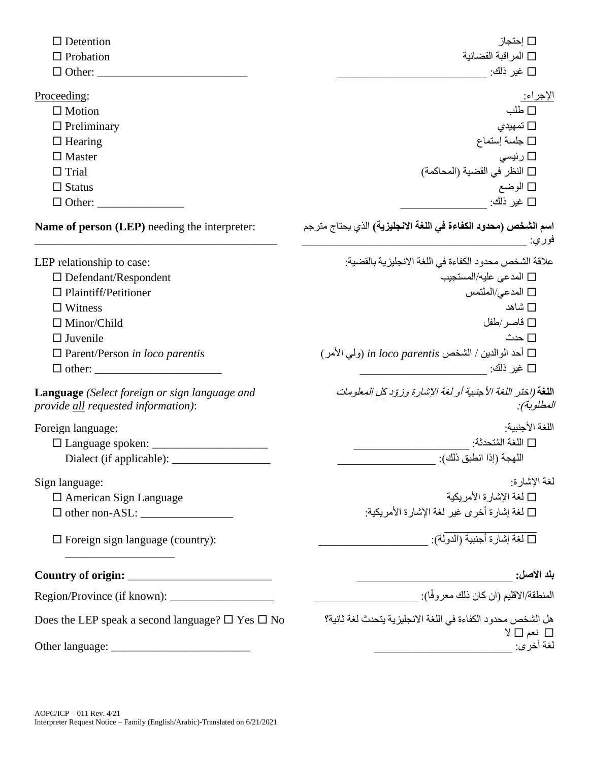| $\Box$ Detention                                                                                    | $\Box$ إحتجاز                                                                                                                                                                                                                                     |  |  |
|-----------------------------------------------------------------------------------------------------|---------------------------------------------------------------------------------------------------------------------------------------------------------------------------------------------------------------------------------------------------|--|--|
| $\Box$ Probation                                                                                    | المراقبة القضائية $\square$                                                                                                                                                                                                                       |  |  |
| $\Box$ Other:                                                                                       | □ غير ذلك:                                                                                                                                                                                                                                        |  |  |
| Proceeding:                                                                                         | <u>الإجراء:</u>                                                                                                                                                                                                                                   |  |  |
| $\Box$ Motion                                                                                       | $\square$ طلب                                                                                                                                                                                                                                     |  |  |
| $\Box$ Preliminary                                                                                  | تمهيدي $\Box$                                                                                                                                                                                                                                     |  |  |
| $\Box$ Hearing                                                                                      | $\square$ جلسة إستماع                                                                                                                                                                                                                             |  |  |
| $\Box$ Master                                                                                       | □ رئيسى                                                                                                                                                                                                                                           |  |  |
| $\Box$ Trial                                                                                        | □ النظر في القضية (المحاكمة)                                                                                                                                                                                                                      |  |  |
| $\Box$ Status                                                                                       | □ الوضع                                                                                                                                                                                                                                           |  |  |
| $\Box$ Other:                                                                                       | □ غير ذلك:                                                                                                                                                                                                                                        |  |  |
| <b>Name of person (LEP)</b> needing the interpreter:                                                | ا <b>سم الشخص (محدود الكفاءة في اللغة الانجليزية)</b> الذي يحتاج مترجم<br>فوري:                                                                                                                                                                   |  |  |
| LEP relationship to case:                                                                           | علاقة الشخص محدود الكفاءة في اللغة الانجليزية بالقضية:                                                                                                                                                                                            |  |  |
| $\Box$ Defendant/Respondent                                                                         | □ المدعى عليه/المستجيب                                                                                                                                                                                                                            |  |  |
| $\Box$ Plaintiff/Petitioner                                                                         | □ المدعى/الملتمس                                                                                                                                                                                                                                  |  |  |
| $\Box$ Witness                                                                                      | □ شاهد                                                                                                                                                                                                                                            |  |  |
| $\Box$ Minor/Child                                                                                  | فاصر /طفل $\square$                                                                                                                                                                                                                               |  |  |
| $\Box$ Juvenile                                                                                     | □ حدث                                                                                                                                                                                                                                             |  |  |
| $\Box$ Parent/Person in loco parentis                                                               | أحد الوالدين / الشخص in loco parentis (ولمي الأمر ) ا                                                                                                                                                                                             |  |  |
| $\Box$ other:                                                                                       | $\Box$ غير ذلك:                                                                                                                                                                                                                                   |  |  |
| <b>Language</b> (Select foreign or sign language and<br><i>provide all requested information)</i> : | اللغة (اختر اللغة الأجنبية أو لغة الإشارة وزوّد <u>كل</u> المعلومات<br>المطلوبة):                                                                                                                                                                 |  |  |
| Foreign language:                                                                                   | اللغة الأجنببة:                                                                                                                                                                                                                                   |  |  |
|                                                                                                     | □ اللغة المُتحدثة:                                                                                                                                                                                                                                |  |  |
| Dialect (if applicable): _                                                                          |                                                                                                                                                                                                                                                   |  |  |
| Sign language:                                                                                      | لغة الإشارة:                                                                                                                                                                                                                                      |  |  |
| $\Box$ American Sign Language                                                                       | □ لغة الإشارة الأمريكية                                                                                                                                                                                                                           |  |  |
|                                                                                                     | □ لغة إشارة أخرى غير لغة الإشارة الأمريكية:                                                                                                                                                                                                       |  |  |
| $\Box$ Foreign sign language (country):                                                             |                                                                                                                                                                                                                                                   |  |  |
|                                                                                                     |                                                                                                                                                                                                                                                   |  |  |
|                                                                                                     | المنطقة/الاقليم (ان كان ذلك معروفًا): __________                                                                                                                                                                                                  |  |  |
| Does the LEP speak a second language? $\square$ Yes $\square$ No                                    | هل الشخص محدود الكفاءة في اللغة الانجليزية يتحدث لغة ثانية؟<br>□ نعم □ لا                                                                                                                                                                         |  |  |
|                                                                                                     | لغة أخرى:<br><u> 1989 - Johann John Stein, market fan it fjort fan it fjort fan it fjort fan it fjort fan it fjort fan it fjort fan it fjort fan it fjort fan it fjort fan it fjort fan it fjort fan it fjort fan it fjort fan it fjort fan i</u> |  |  |
|                                                                                                     |                                                                                                                                                                                                                                                   |  |  |